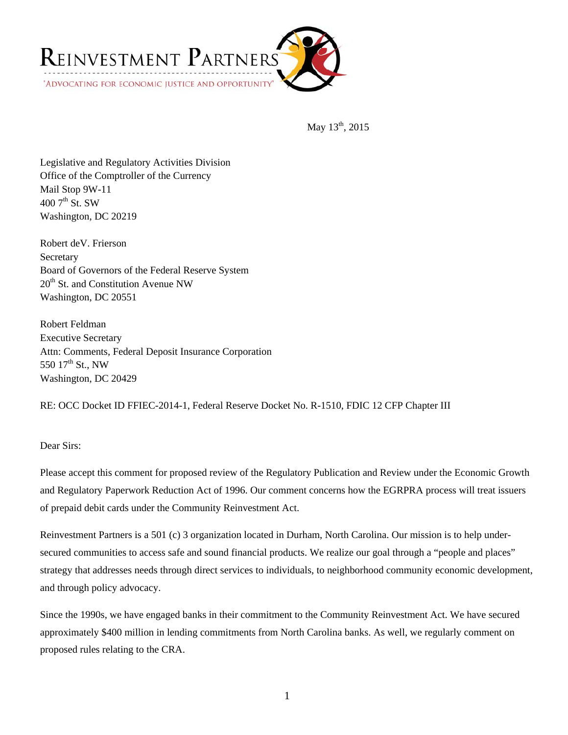

May 13<sup>th</sup>, 2015

Legislative and Regulatory Activities Division Office of the Comptroller of the Currency Mail Stop 9W-11  $4007$ <sup>th</sup> St. SW Washington, DC 20219

Robert deV. Frierson **Secretary** Board of Governors of the Federal Reserve System  $20<sup>th</sup>$  St. and Constitution Avenue NW Washington, DC 20551

Robert Feldman Executive Secretary Attn: Comments, Federal Deposit Insurance Corporation 550  $17^{th}$  St., NW Washington, DC 20429

RE: OCC Docket ID FFIEC-2014-1, Federal Reserve Docket No. R-1510, FDIC 12 CFP Chapter III

## Dear Sirs:

Please accept this comment for proposed review of the Regulatory Publication and Review under the Economic Growth and Regulatory Paperwork Reduction Act of 1996. Our comment concerns how the EGRPRA process will treat issuers of prepaid debit cards under the Community Reinvestment Act.

Reinvestment Partners is a 501 (c) 3 organization located in Durham, North Carolina. Our mission is to help undersecured communities to access safe and sound financial products. We realize our goal through a "people and places" strategy that addresses needs through direct services to individuals, to neighborhood community economic development, and through policy advocacy.

Since the 1990s, we have engaged banks in their commitment to the Community Reinvestment Act. We have secured approximately \$400 million in lending commitments from North Carolina banks. As well, we regularly comment on proposed rules relating to the CRA.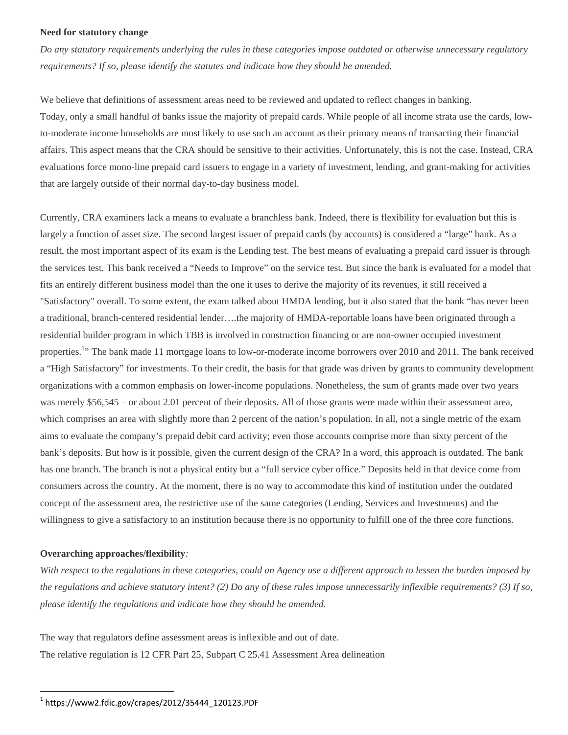#### **Need for statutory change**

*Do any statutory requirements underlying the rules in these categories impose outdated or otherwise unnecessary regulatory requirements? If so, please identify the statutes and indicate how they should be amended.* 

We believe that definitions of assessment areas need to be reviewed and updated to reflect changes in banking. Today, only a small handful of banks issue the majority of prepaid cards. While people of all income strata use the cards, lowto-moderate income households are most likely to use such an account as their primary means of transacting their financial affairs. This aspect means that the CRA should be sensitive to their activities. Unfortunately, this is not the case. Instead, CRA evaluations force mono-line prepaid card issuers to engage in a variety of investment, lending, and grant-making for activities that are largely outside of their normal day-to-day business model.

Currently, CRA examiners lack a means to evaluate a branchless bank. Indeed, there is flexibility for evaluation but this is largely a function of asset size. The second largest issuer of prepaid cards (by accounts) is considered a "large" bank. As a result, the most important aspect of its exam is the Lending test. The best means of evaluating a prepaid card issuer is through the services test. This bank received a "Needs to Improve" on the service test. But since the bank is evaluated for a model that fits an entirely different business model than the one it uses to derive the majority of its revenues, it still received a "Satisfactory" overall. To some extent, the exam talked about HMDA lending, but it also stated that the bank "has never been a traditional, branch-centered residential lender….the majority of HMDA-reportable loans have been originated through a residential builder program in which TBB is involved in construction financing or are non-owner occupied investment properties.<sup>1</sup>" The bank made 11 mortgage loans to low-or-moderate income borrowers over 2010 and 2011. The bank received a "High Satisfactory" for investments. To their credit, the basis for that grade was driven by grants to community development organizations with a common emphasis on lower-income populations. Nonetheless, the sum of grants made over two years was merely \$56,545 – or about 2.01 percent of their deposits. All of those grants were made within their assessment area, which comprises an area with slightly more than 2 percent of the nation's population. In all, not a single metric of the exam aims to evaluate the company's prepaid debit card activity; even those accounts comprise more than sixty percent of the bank's deposits. But how is it possible, given the current design of the CRA? In a word, this approach is outdated. The bank has one branch. The branch is not a physical entity but a "full service cyber office." Deposits held in that device come from consumers across the country. At the moment, there is no way to accommodate this kind of institution under the outdated concept of the assessment area, the restrictive use of the same categories (Lending, Services and Investments) and the willingness to give a satisfactory to an institution because there is no opportunity to fulfill one of the three core functions.

### **Overarching approaches/flexibility***:*

 $\overline{a}$ 

*With respect to the regulations in these categories, could an Agency use a different approach to lessen the burden imposed by the regulations and achieve statutory intent? (2) Do any of these rules impose unnecessarily inflexible requirements? (3) If so, please identify the regulations and indicate how they should be amended.* 

The way that regulators define assessment areas is inflexible and out of date. The relative regulation is 12 CFR Part 25, Subpart C 25.41 Assessment Area delineation

 $1$  https://www2.fdic.gov/crapes/2012/35444\_120123.PDF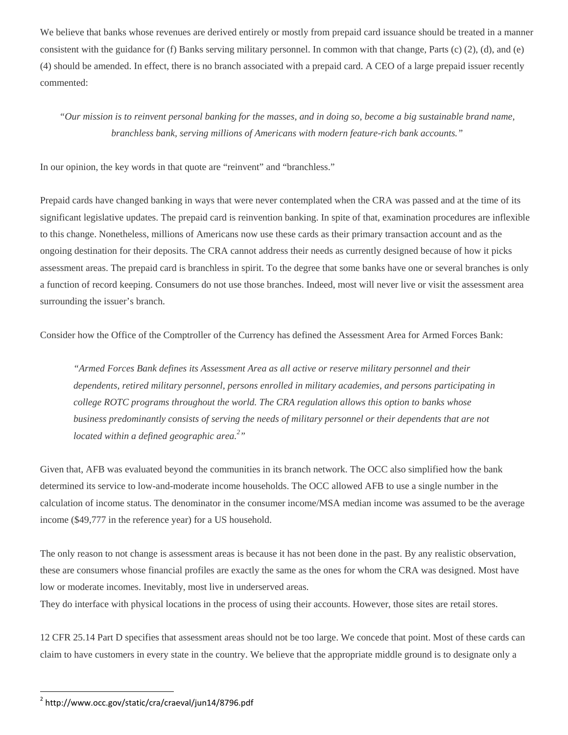We believe that banks whose revenues are derived entirely or mostly from prepaid card issuance should be treated in a manner consistent with the guidance for (f) Banks serving military personnel. In common with that change, Parts (c) (2), (d), and (e) (4) should be amended. In effect, there is no branch associated with a prepaid card. A CEO of a large prepaid issuer recently commented:

# *"Our mission is to reinvent personal banking for the masses, and in doing so, become a big sustainable brand name, branchless bank, serving millions of Americans with modern feature-rich bank accounts."*

In our opinion, the key words in that quote are "reinvent" and "branchless."

Prepaid cards have changed banking in ways that were never contemplated when the CRA was passed and at the time of its significant legislative updates. The prepaid card is reinvention banking. In spite of that, examination procedures are inflexible to this change. Nonetheless, millions of Americans now use these cards as their primary transaction account and as the ongoing destination for their deposits. The CRA cannot address their needs as currently designed because of how it picks assessment areas. The prepaid card is branchless in spirit. To the degree that some banks have one or several branches is only a function of record keeping. Consumers do not use those branches. Indeed, most will never live or visit the assessment area surrounding the issuer's branch.

Consider how the Office of the Comptroller of the Currency has defined the Assessment Area for Armed Forces Bank:

*"Armed Forces Bank defines its Assessment Area as all active or reserve military personnel and their dependents, retired military personnel, persons enrolled in military academies, and persons participating in college ROTC programs throughout the world. The CRA regulation allows this option to banks whose business predominantly consists of serving the needs of military personnel or their dependents that are not located within a defined geographic area.2 "* 

Given that, AFB was evaluated beyond the communities in its branch network. The OCC also simplified how the bank determined its service to low-and-moderate income households. The OCC allowed AFB to use a single number in the calculation of income status. The denominator in the consumer income/MSA median income was assumed to be the average income (\$49,777 in the reference year) for a US household.

The only reason to not change is assessment areas is because it has not been done in the past. By any realistic observation, these are consumers whose financial profiles are exactly the same as the ones for whom the CRA was designed. Most have low or moderate incomes. Inevitably, most live in underserved areas.

They do interface with physical locations in the process of using their accounts. However, those sites are retail stores.

12 CFR 25.14 Part D specifies that assessment areas should not be too large. We concede that point. Most of these cards can claim to have customers in every state in the country. We believe that the appropriate middle ground is to designate only a

 $\overline{a}$ 

<sup>2</sup> http://www.occ.gov/static/cra/craeval/jun14/8796.pdf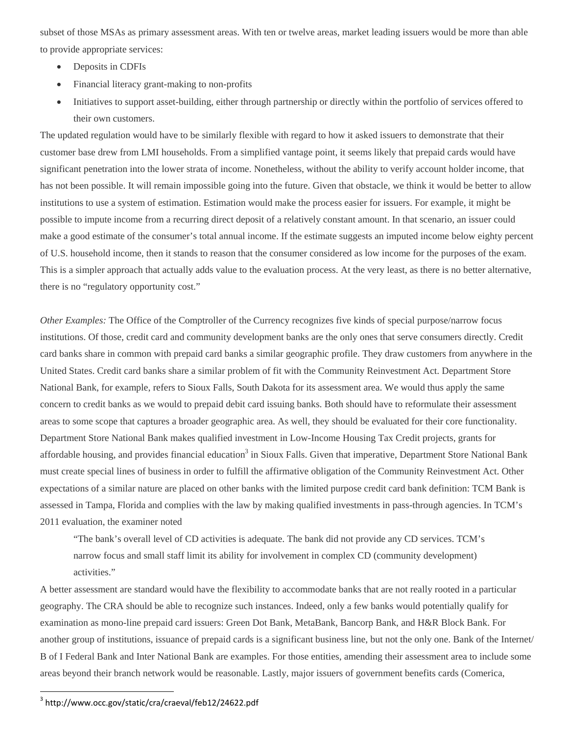subset of those MSAs as primary assessment areas. With ten or twelve areas, market leading issuers would be more than able to provide appropriate services:

- Deposits in CDFIs
- Financial literacy grant-making to non-profits
- Initiatives to support asset-building, either through partnership or directly within the portfolio of services offered to their own customers.

The updated regulation would have to be similarly flexible with regard to how it asked issuers to demonstrate that their customer base drew from LMI households. From a simplified vantage point, it seems likely that prepaid cards would have significant penetration into the lower strata of income. Nonetheless, without the ability to verify account holder income, that has not been possible. It will remain impossible going into the future. Given that obstacle, we think it would be better to allow institutions to use a system of estimation. Estimation would make the process easier for issuers. For example, it might be possible to impute income from a recurring direct deposit of a relatively constant amount. In that scenario, an issuer could make a good estimate of the consumer's total annual income. If the estimate suggests an imputed income below eighty percent of U.S. household income, then it stands to reason that the consumer considered as low income for the purposes of the exam. This is a simpler approach that actually adds value to the evaluation process. At the very least, as there is no better alternative, there is no "regulatory opportunity cost."

*Other Examples:* The Office of the Comptroller of the Currency recognizes five kinds of special purpose/narrow focus institutions. Of those, credit card and community development banks are the only ones that serve consumers directly. Credit card banks share in common with prepaid card banks a similar geographic profile. They draw customers from anywhere in the United States. Credit card banks share a similar problem of fit with the Community Reinvestment Act. Department Store National Bank, for example, refers to Sioux Falls, South Dakota for its assessment area. We would thus apply the same concern to credit banks as we would to prepaid debit card issuing banks. Both should have to reformulate their assessment areas to some scope that captures a broader geographic area. As well, they should be evaluated for their core functionality. Department Store National Bank makes qualified investment in Low-Income Housing Tax Credit projects, grants for affordable housing, and provides financial education<sup>3</sup> in Sioux Falls. Given that imperative, Department Store National Bank must create special lines of business in order to fulfill the affirmative obligation of the Community Reinvestment Act. Other expectations of a similar nature are placed on other banks with the limited purpose credit card bank definition: TCM Bank is assessed in Tampa, Florida and complies with the law by making qualified investments in pass-through agencies. In TCM's 2011 evaluation, the examiner noted

"The bank's overall level of CD activities is adequate. The bank did not provide any CD services. TCM's narrow focus and small staff limit its ability for involvement in complex CD (community development) activities."

A better assessment are standard would have the flexibility to accommodate banks that are not really rooted in a particular geography. The CRA should be able to recognize such instances. Indeed, only a few banks would potentially qualify for examination as mono-line prepaid card issuers: Green Dot Bank, MetaBank, Bancorp Bank, and H&R Block Bank. For another group of institutions, issuance of prepaid cards is a significant business line, but not the only one. Bank of the Internet/ B of I Federal Bank and Inter National Bank are examples. For those entities, amending their assessment area to include some areas beyond their branch network would be reasonable. Lastly, major issuers of government benefits cards (Comerica,

 $\overline{a}$ 

<sup>3</sup> http://www.occ.gov/static/cra/craeval/feb12/24622.pdf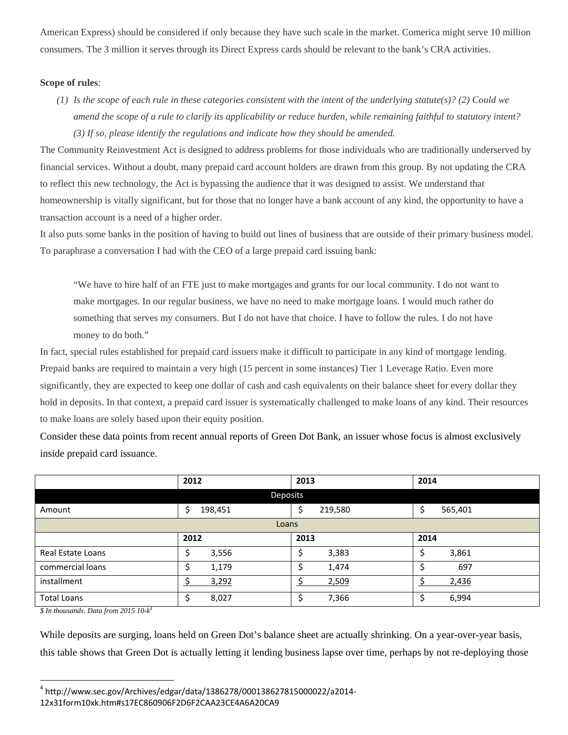American Express) should be considered if only because they have such scale in the market. Comerica might serve 10 million consumers. The 3 million it serves through its Direct Express cards should be relevant to the bank's CRA activities.

### **Scope of rules***:*

*(1) Is the scope of each rule in these categories consistent with the intent of the underlying statute(s)? (2) Could we amend the scope of a rule to clarify its applicability or reduce burden, while remaining faithful to statutory intent? (3) If so, please identify the regulations and indicate how they should be amended.* 

The Community Reinvestment Act is designed to address problems for those individuals who are traditionally underserved by financial services. Without a doubt, many prepaid card account holders are drawn from this group. By not updating the CRA to reflect this new technology, the Act is bypassing the audience that it was designed to assist. We understand that homeownership is vitally significant, but for those that no longer have a bank account of any kind, the opportunity to have a transaction account is a need of a higher order.

It also puts some banks in the position of having to build out lines of business that are outside of their primary business model. To paraphrase a conversation I had with the CEO of a large prepaid card issuing bank:

"We have to hire half of an FTE just to make mortgages and grants for our local community. I do not want to make mortgages. In our regular business, we have no need to make mortgage loans. I would much rather do something that serves my consumers. But I do not have that choice. I have to follow the rules. I do not have money to do both."

In fact, special rules established for prepaid card issuers make it difficult to participate in any kind of mortgage lending. Prepaid banks are required to maintain a very high (15 percent in some instances) Tier 1 Leverage Ratio. Even more significantly, they are expected to keep one dollar of cash and cash equivalents on their balance sheet for every dollar they hold in deposits. In that context, a prepaid card issuer is systematically challenged to make loans of any kind. Their resources to make loans are solely based upon their equity position.

Consider these data points from recent annual reports of Green Dot Bank, an issuer whose focus is almost exclusively inside prepaid card issuance.

|                          | 2012          | 2013    | 2014         |  |  |  |
|--------------------------|---------------|---------|--------------|--|--|--|
| Deposits                 |               |         |              |  |  |  |
| Amount                   | \$<br>198,451 | 219,580 | 565,401<br>Ś |  |  |  |
| Loans                    |               |         |              |  |  |  |
|                          | 2012          | 2013    | 2014         |  |  |  |
| <b>Real Estate Loans</b> | \$<br>3,556   | 3,383   | 3,861        |  |  |  |
| commercial loans         | 1,179<br>\$   | 1,474   | 697          |  |  |  |
| installment              | 3,292         | 2,509   | 2,436        |  |  |  |
| <b>Total Loans</b>       | \$<br>8,027   | 7,366   | 6,994        |  |  |  |

*\$ In thousands. Data from 2015 10-k4*

 $\overline{a}$ 

While deposits are surging, loans held on Green Dot's balance sheet are actually shrinking. On a year-over-year basis, this table shows that Green Dot is actually letting it lending business lapse over time, perhaps by not re-deploying those

 $4$  http://www.sec.gov/Archives/edgar/data/1386278/000138627815000022/a2014-

<sup>12</sup>x31form10xk.htm#s17EC860906F2D6F2CAA23CE4A6A20CA9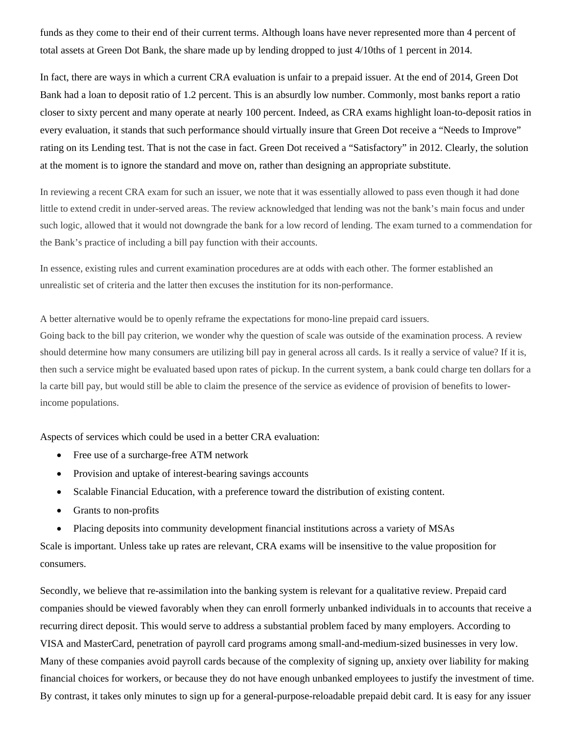funds as they come to their end of their current terms. Although loans have never represented more than 4 percent of total assets at Green Dot Bank, the share made up by lending dropped to just 4/10ths of 1 percent in 2014.

In fact, there are ways in which a current CRA evaluation is unfair to a prepaid issuer. At the end of 2014, Green Dot Bank had a loan to deposit ratio of 1.2 percent. This is an absurdly low number. Commonly, most banks report a ratio closer to sixty percent and many operate at nearly 100 percent. Indeed, as CRA exams highlight loan-to-deposit ratios in every evaluation, it stands that such performance should virtually insure that Green Dot receive a "Needs to Improve" rating on its Lending test. That is not the case in fact. Green Dot received a "Satisfactory" in 2012. Clearly, the solution at the moment is to ignore the standard and move on, rather than designing an appropriate substitute.

In reviewing a recent CRA exam for such an issuer, we note that it was essentially allowed to pass even though it had done little to extend credit in under-served areas. The review acknowledged that lending was not the bank's main focus and under such logic, allowed that it would not downgrade the bank for a low record of lending. The exam turned to a commendation for the Bank's practice of including a bill pay function with their accounts.

In essence, existing rules and current examination procedures are at odds with each other. The former established an unrealistic set of criteria and the latter then excuses the institution for its non-performance.

A better alternative would be to openly reframe the expectations for mono-line prepaid card issuers.

Going back to the bill pay criterion, we wonder why the question of scale was outside of the examination process. A review should determine how many consumers are utilizing bill pay in general across all cards. Is it really a service of value? If it is, then such a service might be evaluated based upon rates of pickup. In the current system, a bank could charge ten dollars for a la carte bill pay, but would still be able to claim the presence of the service as evidence of provision of benefits to lowerincome populations.

Aspects of services which could be used in a better CRA evaluation:

- Free use of a surcharge-free ATM network
- Provision and uptake of interest-bearing savings accounts
- Scalable Financial Education, with a preference toward the distribution of existing content.
- Grants to non-profits
- Placing deposits into community development financial institutions across a variety of MSAs

Scale is important. Unless take up rates are relevant, CRA exams will be insensitive to the value proposition for consumers.

Secondly, we believe that re-assimilation into the banking system is relevant for a qualitative review. Prepaid card companies should be viewed favorably when they can enroll formerly unbanked individuals in to accounts that receive a recurring direct deposit. This would serve to address a substantial problem faced by many employers. According to VISA and MasterCard, penetration of payroll card programs among small-and-medium-sized businesses in very low. Many of these companies avoid payroll cards because of the complexity of signing up, anxiety over liability for making financial choices for workers, or because they do not have enough unbanked employees to justify the investment of time. By contrast, it takes only minutes to sign up for a general-purpose-reloadable prepaid debit card. It is easy for any issuer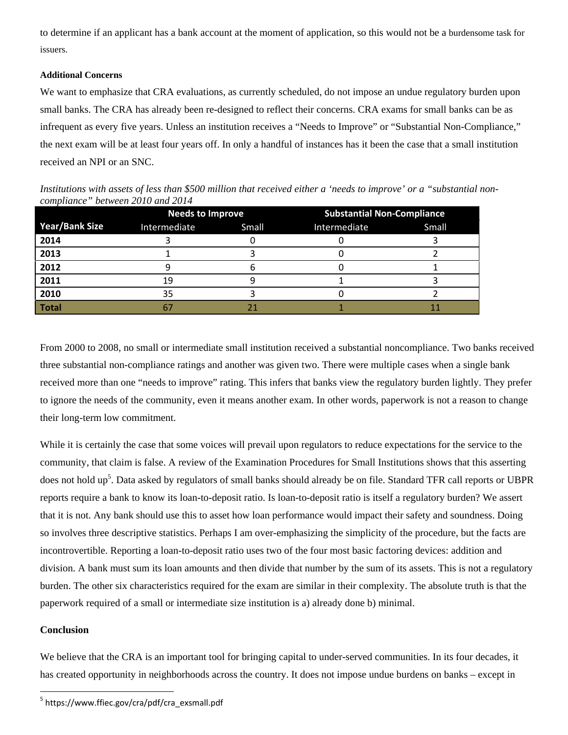to determine if an applicant has a bank account at the moment of application, so this would not be a burdensome task for issuers.

### **Additional Concerns**

We want to emphasize that CRA evaluations, as currently scheduled, do not impose an undue regulatory burden upon small banks. The CRA has already been re-designed to reflect their concerns. CRA exams for small banks can be as infrequent as every five years. Unless an institution receives a "Needs to Improve" or "Substantial Non-Compliance," the next exam will be at least four years off. In only a handful of instances has it been the case that a small institution received an NPI or an SNC.

*Institutions with assets of less than \$500 million that received either a 'needs to improve' or a "substantial noncompliance" between 2010 and 2014* 

|                       | <b>Needs to Improve</b> |       | <b>Substantial Non-Compliance</b> |       |
|-----------------------|-------------------------|-------|-----------------------------------|-------|
| <b>Year/Bank Size</b> | Intermediate            | Small | Intermediate                      | Small |
| 2014                  |                         |       |                                   |       |
| 2013                  |                         |       |                                   |       |
| 2012                  |                         |       |                                   |       |
| 2011                  | 19                      |       |                                   |       |
| 2010                  | 35                      |       |                                   |       |
| Total                 |                         |       |                                   |       |

From 2000 to 2008, no small or intermediate small institution received a substantial noncompliance. Two banks received three substantial non-compliance ratings and another was given two. There were multiple cases when a single bank received more than one "needs to improve" rating. This infers that banks view the regulatory burden lightly. They prefer to ignore the needs of the community, even it means another exam. In other words, paperwork is not a reason to change their long-term low commitment.

While it is certainly the case that some voices will prevail upon regulators to reduce expectations for the service to the community, that claim is false. A review of the Examination Procedures for Small Institutions shows that this asserting does not hold up<sup>5</sup>. Data asked by regulators of small banks should already be on file. Standard TFR call reports or UBPR reports require a bank to know its loan-to-deposit ratio. Is loan-to-deposit ratio is itself a regulatory burden? We assert that it is not. Any bank should use this to asset how loan performance would impact their safety and soundness. Doing so involves three descriptive statistics. Perhaps I am over-emphasizing the simplicity of the procedure, but the facts are incontrovertible. Reporting a loan-to-deposit ratio uses two of the four most basic factoring devices: addition and division. A bank must sum its loan amounts and then divide that number by the sum of its assets. This is not a regulatory burden. The other six characteristics required for the exam are similar in their complexity. The absolute truth is that the paperwork required of a small or intermediate size institution is a) already done b) minimal.

# **Conclusion**

 $\overline{a}$ 

We believe that the CRA is an important tool for bringing capital to under-served communities. In its four decades, it has created opportunity in neighborhoods across the country. It does not impose undue burdens on banks – except in

<sup>&</sup>lt;sup>5</sup> https://www.ffiec.gov/cra/pdf/cra\_exsmall.pdf